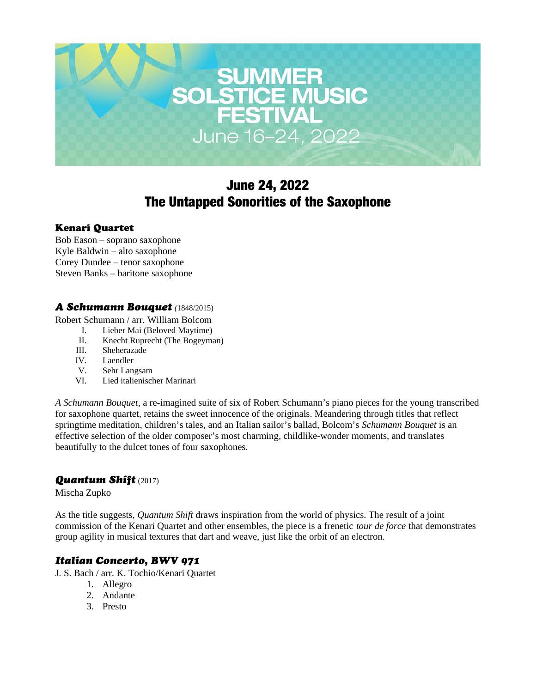

# June 24, 2022 The Untapped Sonorities of the Saxophone

#### Kenari Quartet

Bob Eason – soprano saxophone Kyle Baldwin – alto saxophone Corey Dundee – tenor saxophone Steven Banks – baritone saxophone

## *A Schumann Bouquet (*1848/2015)

Robert Schumann / arr. William Bolcom

- I. Lieber Mai (Beloved Maytime)
- II. Knecht Ruprecht (The Bogeyman)
- III. Sheherazade
- IV. Laendler
- V. Sehr Langsam
- VI. Lied italienischer Marinari

*A Schumann Bouquet*, a re-imagined suite of six of Robert Schumann's piano pieces for the young transcribed for saxophone quartet, retains the sweet innocence of the originals. Meandering through titles that reflect springtime meditation, children's tales, and an Italian sailor's ballad, Bolcom's *Schumann Bouquet* is an effective selection of the older composer's most charming, childlike-wonder moments, and translates beautifully to the dulcet tones of four saxophones.

## *Quantum Shift* (2017)

Mischa Zupko

As the title suggests, *Quantum Shift* draws inspiration from the world of physics. The result of a joint commission of the Kenari Quartet and other ensembles, the piece is a frenetic *tour de force* that demonstrates group agility in musical textures that dart and weave, just like the orbit of an electron.

# *Italian Concerto, BWV 971*

J. S. Bach / arr. K. Tochio/Kenari Quartet

- 1. Allegro
- 2. Andante
- 3. Presto